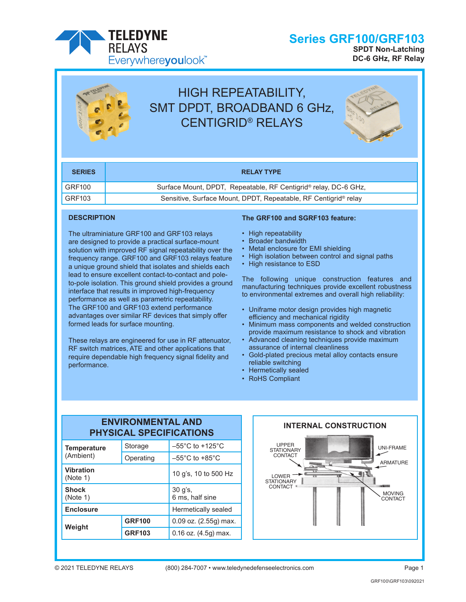

# HIGH REPEATABILITY, SMT DPDT, BROADBAND 6 GHz, CENTIGRID® RELAYS



**SPDT Non-Latching DC-6 GHz, RF Relay**

**Series GRF100/GRF103**

| <b>SERIES</b> | <b>RELAY TYPE</b>                                                           |
|---------------|-----------------------------------------------------------------------------|
| GRF100        | Surface Mount, DPDT, Repeatable, RF Centigrid <sup>®</sup> relay, DC-6 GHz, |
| GRF103        | Sensitive, Surface Mount, DPDT, Repeatable, RF Centigrid <sup>®</sup> relay |

### **DESCRIPTION**

The ultraminiature GRF100 and GRF103 relays are designed to provide a practical surface-mount solution with improved RF signal repeatability over the frequency range. GRF100 and GRF103 relays feature a unique ground shield that isolates and shields each lead to ensure excellent contact-to-contact and poleto-pole isolation. This ground shield provides a ground interface that results in improved high-frequency performance as well as parametric repeatability. The GRF100 and GRF103 extend performance advantages over similar RF devices that simply offer formed leads for surface mounting.

These relays are engineered for use in RF attenuator, RF switch matrices, ATE and other applications that require dependable high frequency signal fidelity and performance.

### **The GRF100 and SGRF103 feature:**

- High repeatability
- Broader bandwidth
- Metal enclosure for EMI shielding
- High isolation between control and signal paths
- High resistance to ESD

The following unique construction features and manufacturing techniques provide excellent robustness to environmental extremes and overall high reliability:

- Uniframe motor design provides high magnetic efficiency and mechanical rigidity
- Minimum mass components and welded construction provide maximum resistance to shock and vibration
- Advanced cleaning techniques provide maximum assurance of internal cleanliness
- Gold-plated precious metal alloy contacts ensure reliable switching

**INTERNAL CONSTRUCTION**

- Hermetically sealed
- RoHS Compliant

### **ENVIRONMENTAL AND PHYSICAL SPECIFICATIONS**

| <b>Temperature</b>           | Storage                      | $-55^{\circ}$ C to $+125^{\circ}$ C |  |
|------------------------------|------------------------------|-------------------------------------|--|
| (Ambient)                    | Operating                    | $-55^{\circ}$ C to $+85^{\circ}$ C  |  |
| <b>Vibration</b><br>(Note 1) | 10 g's, 10 to 500 Hz         |                                     |  |
| <b>Shock</b><br>(Note 1)     | $30$ g's,<br>6 ms, half sine |                                     |  |
| <b>Enclosure</b>             | Hermetically sealed          |                                     |  |
|                              | <b>GRF100</b>                | $0.09$ oz. $(2.55g)$ max.           |  |
| Weight                       | <b>GRF103</b>                | $0.16$ oz. $(4.5g)$ max.            |  |

### **INTERNAL CONSTRUCTION**

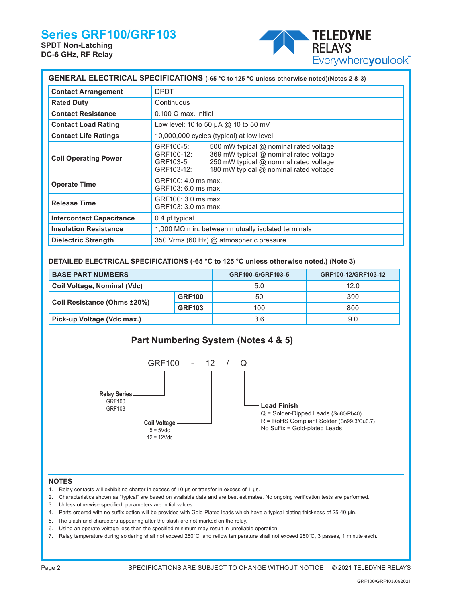# **Series GRF100/GRF103**

**SPDT Non-Latching DC-6 GHz, RF Relay**



| GENERAL ELECTRICAL SPECIFICATIONS (-65 °C to 125 °C unless otherwise noted)(Notes 2 & 3) |                                                                                                                                                                                                                            |  |  |  |  |  |
|------------------------------------------------------------------------------------------|----------------------------------------------------------------------------------------------------------------------------------------------------------------------------------------------------------------------------|--|--|--|--|--|
| <b>Contact Arrangement</b>                                                               | <b>DPDT</b>                                                                                                                                                                                                                |  |  |  |  |  |
| <b>Rated Duty</b>                                                                        | Continuous                                                                                                                                                                                                                 |  |  |  |  |  |
| <b>Contact Resistance</b>                                                                | $0.100 \Omega$ max. initial                                                                                                                                                                                                |  |  |  |  |  |
| <b>Contact Load Rating</b>                                                               | Low level: 10 to 50 $\mu$ A @ 10 to 50 mV                                                                                                                                                                                  |  |  |  |  |  |
| <b>Contact Life Ratings</b>                                                              | 10,000,000 cycles (typical) at low level                                                                                                                                                                                   |  |  |  |  |  |
| <b>Coil Operating Power</b>                                                              | GRF100-5:<br>500 mW typical @ nominal rated voltage<br>369 mW typical @ nominal rated voltage<br>GRF100-12:<br>250 mW typical @ nominal rated voltage<br>GRF103-5:<br>180 mW typical @ nominal rated voltage<br>GRF103-12: |  |  |  |  |  |
| <b>Operate Time</b>                                                                      | GRF100: 4.0 ms max.<br>GRF103: 6.0 ms max.                                                                                                                                                                                 |  |  |  |  |  |
| <b>Release Time</b>                                                                      | GRF100: 3.0 ms max.<br>GRF103: 3.0 ms max.                                                                                                                                                                                 |  |  |  |  |  |
| <b>Intercontact Capacitance</b>                                                          | 0.4 pf typical                                                                                                                                                                                                             |  |  |  |  |  |
| <b>Insulation Resistance</b>                                                             | $1,000$ M $\Omega$ min. between mutually isolated terminals                                                                                                                                                                |  |  |  |  |  |
| <b>Dielectric Strength</b>                                                               | 350 Vrms (60 Hz) @ atmospheric pressure                                                                                                                                                                                    |  |  |  |  |  |

### **DETAILED ELECTRICAL SPECIFICATIONS (-65 °C to 125 °C unless otherwise noted.) (Note 3)**

| <b>BASE PART NUMBERS</b>    |               | GRF100-5/GRF103-5 | GRF100-12/GRF103-12 |
|-----------------------------|---------------|-------------------|---------------------|
| Coil Voltage, Nominal (Vdc) |               | 5.0               | 12.0                |
|                             | <b>GRF100</b> | 50                | 390                 |
| Coil Resistance (Ohms ±20%) | <b>GRF103</b> | 100               | 800                 |
| Pick-up Voltage (Vdc max.)  |               | 3.6               | 9.0                 |



#### **NOTES**

- 1. Relay contacts will exhibit no chatter in excess of 10 µs or transfer in excess of 1 µs.
- 2. Characteristics shown as "typical" are based on available data and are best estimates. No ongoing verification tests are performed.
- 3. Unless otherwise specified, parameters are initial values.
- 4. Parts ordered with no suffix option will be provided with Gold-Plated leads which have a typical plating thickness of 25-40 µin.
- 5. The slash and characters appearing after the slash are not marked on the relay.
- 6. Using an operate voltage less than the specified minimum may result in unreliable operation.
- 7. Relay temperature during soldering shall not exceed 250°C, and reflow temperature shall not exceed 250°C, 3 passes, 1 minute each.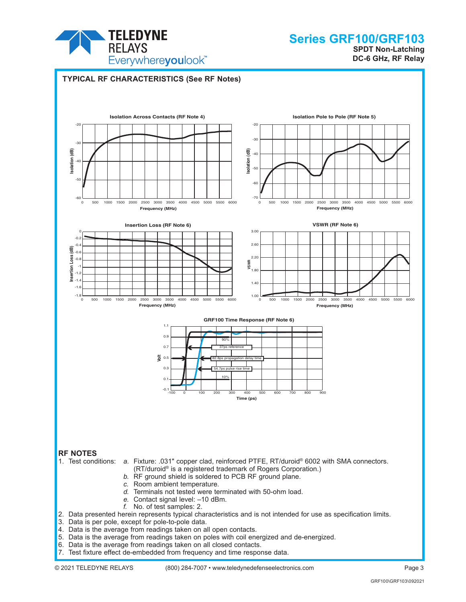

**SPDT Non-Latching DC-6 GHz, RF Relay**